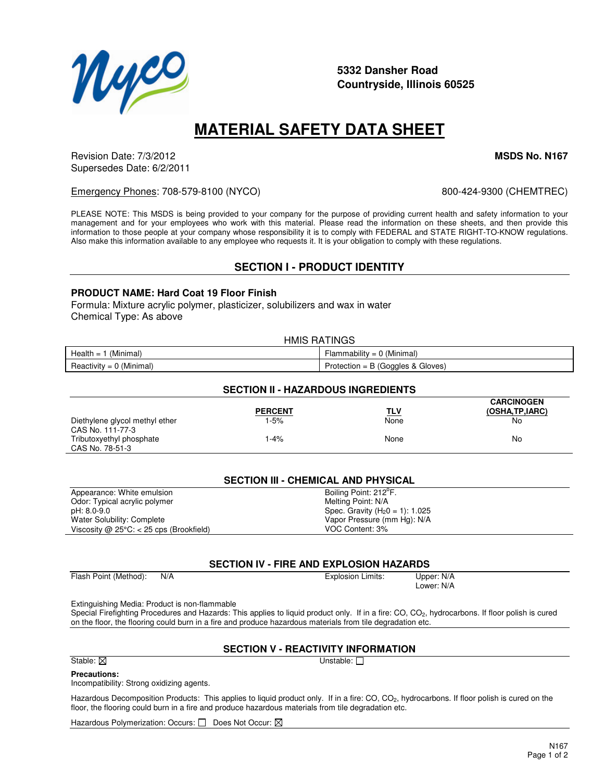

Special Firefighting Procedures and Hazards: This applies to liquid product only. If in a fire: CO, CO<sub>2</sub>, hydrocarbons. If floor polish is cured

#### **SECTION V - REACTIVITY INFORMATION**

#### Stable:  $\boxtimes$

#### **Precautions:**

Incompatibility: Strong oxidizing agents.

Hazardous Decomposition Products: This applies to liquid product only. If in a fire: CO, CO<sub>2</sub>, hydrocarbons. If floor polish is cured on the floor, the flooring could burn in a fire and produce hazardous materials from tile degradation etc.

Hazardous Polymerization: Occurs:  $\Box$  Does Not Occur:  $\boxtimes$ 

### **5332 Dansher Road Countryside, Illinois 60525**

## **MATERIAL SAFETY DATA SHEET**

Emergency Phones: 708-579-8100 (NYCO) 800-424-9300 (CHEMTREC)

PLEASE NOTE: This MSDS is being provided to your company for the purpose of providing current health and safety information to your management and for your employees who work with this material. Please read the information on these sheets, and then provide this information to those people at your company whose responsibility it is to comply with FEDERAL and STATE RIGHT-TO-KNOW regulations.

Revision Date: 7/3/2012 **MSDS No. N167** Supersedes Date: 6/2/2011

Also make this information available to any employee who requests it. It is your obligation to comply with these regulations. **SECTION I - PRODUCT IDENTITY PRODUCT NAME: Hard Coat 19 Floor Finish** Formula: Mixture acrylic polymer, plasticizer, solubilizers and wax in water

Chemical Type: As above

| <b>HMIS RATINGS</b>        |                                     |  |
|----------------------------|-------------------------------------|--|
| Health = $1$ (Minimal)     | Flammability = $0$ (Minimal)        |  |
| $Reactivity = 0$ (Minimal) | Protection = $B$ (Goggles & Gloves) |  |

#### **CARCINOGEN PERCENT TLV (OSHA,TP,IARC)** Diethylene glycol methyl ether 1-5% None None None None No CAS No. 111-77-3 Tributoxyethyl phosphate  $1-4\%$  1-4% None None None No CAS No. 78-51-3

| Appearance: White emulsion                        | Boiling Point: 212 <sup>°</sup> F. |
|---------------------------------------------------|------------------------------------|
| Odor: Typical acrylic polymer                     | Melting Point: N/A                 |
| pH: 8.0-9.0                                       | Spec. Gravity $(H_20 = 1)$ : 1.025 |
| Water Solubility: Complete                        | Vapor Pressure (mm Hg): N/A        |
| Viscosity @ $25^{\circ}$ C: < 25 cps (Brookfield) | VOC Content: 3%                    |
|                                                   |                                    |

#### **SECTION IV - FIRE AND EXPLOSION HAZARDS**

Extinguishing Media: Product is non-flammable

on the floor, the flooring could burn in a fire and produce hazardous materials from tile degradation etc.

# **SECTION II - HAZARDOUS INGREDIENTS**



| J.<br><b>I A</b> |
|------------------|
|                  |

Lower: N/A